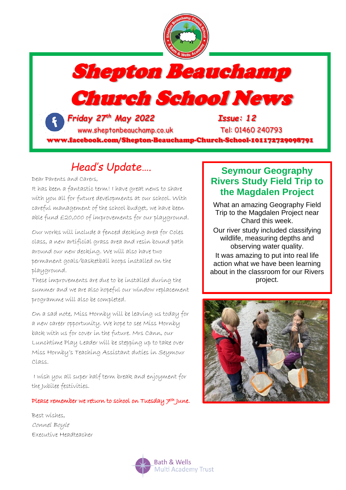

Shepton Beauchamp

Church School News

 *Friday 27th May 2022 Issue: 12* [www.sheptonbeauchamp.co.uk](http://www.sheptonbeauchamp.co.uk/) Tel: 01460 240793

www.facebook.com/Shepton-Beauchamp-Church-School-101172729098791

# *Head's Update….*

Dear Parents and Carers,

It has been a fantastic term! I have great news to share with you all for future developments at our school. With careful management of the school budget, we have been able fund £20,000 of improvements for our playground.

Our works will include a fenced decking area for Coles class, a new artificial grass area and resin bound path around our new decking. We will also have two permanent goals/basketball hoops installed on the playground.

These improvements are due to be installed during the summer and we are also hopeful our window replacement programme will also be completed.

On a sad note, Miss Hornby will be leaving us today for a new career opportunity. We hope to see Miss Hornby back with us for cover in the future. Mrs Cann, our Lunchtime Play Leader will be stepping up to take over Miss Hornby's Teaching Assistant duties in Seymour Class.

I wish you all super half term break and enjoyment for the Jubilee festivities.

#### Please remember we return to school on Tuesday 7th June.

Best wishes, Connel Boyle Executive Headteacher

### **Seymour Geography Rivers Study Field Trip to the Magdalen Project**

What an amazing Geography Field Trip to the Magdalen Project near Chard this week. Our river study included classifying wildlife, measuring depths and observing water quality. It was amazing to put into real life action what we have been learning about in the classroom for our Rivers project.